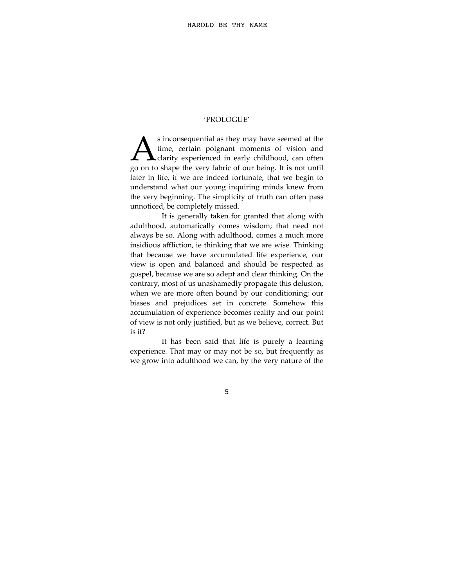## 'PROLOGUE'

s inconsequential as they may have seemed at the time, certain poignant moments of vision and **L** clarity experienced in early childhood, can often s inconsequential as they may have seemed at the time, certain poignant moments of vision and clarity experienced in early childhood, can often go on to shape the very fabric of our being. It is not until later in life, if we are indeed fortunate, that we begin to understand what our young inquiring minds knew from the very beginning. The simplicity of truth can often pass unnoticed, be completely missed.

It is generally taken for granted that along with adulthood, automatically comes wisdom; that need not always be so. Along with adulthood, comes a much more insidious affliction, ie thinking that we are wise. Thinking that because we have accumulated life experience, our view is open and balanced and should be respected as gospel, because we are so adept and clear thinking. On the contrary, most of us unashamedly propagate this delusion, when we are more often bound by our conditioning; our biases and prejudices set in concrete. Somehow this accumulation of experience becomes reality and our point of view is not only justified, but as we believe, correct. But is it?

It has been said that life is purely a learning experience. That may or may not be so, but frequently as we grow into adulthood we can, by the very nature of the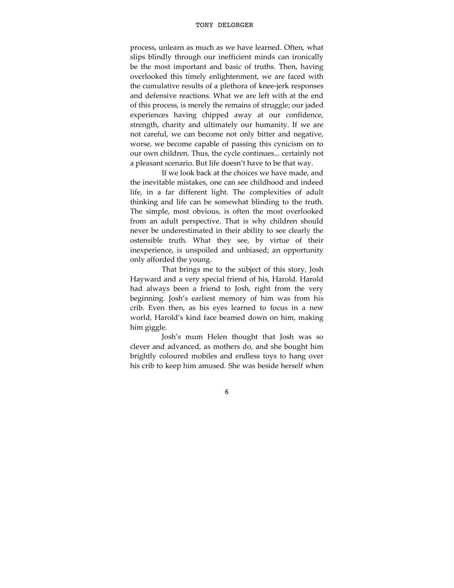process, unlearn as much as we have learned. Often, what slips blindly through our inefficient minds can ironically be the most important and basic of truths. Then, having overlooked this timely enlightenment, we are faced with the cumulative results of a plethora of knee-jerk responses and defensive reactions. What we are left with at the end of this process, is merely the remains of struggle; our jaded experiences having chipped away at our confidence, strength, charity and ultimately our humanity. If we are not careful, we can become not only bitter and negative, worse, we become capable of passing this cynicism on to our own children. Thus, the cycle continues... certainly not a pleasant scenario. But life doesn't have to be that way.

If we look back at the choices we have made, and the inevitable mistakes, one can see childhood and indeed life, in a far different light. The complexities of adult thinking and life can be somewhat blinding to the truth. The simple, most obvious, is often the most overlooked from an adult perspective. That is why children should never be underestimated in their ability to see clearly the ostensible truth. What they see, by virtue of their inexperience, is unspoiled and unbiased; an opportunity only afforded the young.

That brings me to the subject of this story, Josh Hayward and a very special friend of his, Harold. Harold had always been a friend to Josh, right from the very beginning. Josh's earliest memory of him was from his crib. Even then, as his eyes learned to focus in a new world, Harold's kind face beamed down on him, making him giggle.

Josh's mum Helen thought that Josh was so clever and advanced, as mothers do, and she bought him brightly coloured mobiles and endless toys to hang over his crib to keep him amused. She was beside herself when